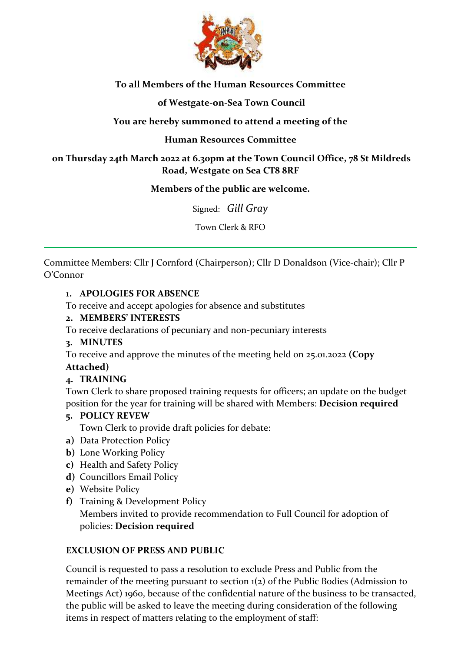

# **To all Members of the Human Resources Committee**

### **of Westgate-on-Sea Town Council**

# **You are hereby summoned to attend a meeting of the**

## **Human Resources Committee**

# **on Thursday 24th March 2022 at 6.30pm at the Town Council Office, 78 St Mildreds Road, Westgate on Sea CT8 8RF**

#### **Members of the public are welcome.**

Signed: *Gill Gray*

Town Clerk & RFO

Committee Members: Cllr J Cornford (Chairperson); Cllr D Donaldson (Vice-chair); Cllr P O'Connor

#### **1. APOLOGIES FOR ABSENCE**

To receive and accept apologies for absence and substitutes

## **2. MEMBERS' INTERESTS**

To receive declarations of pecuniary and non-pecuniary interests

#### **3. MINUTES**

To receive and approve the minutes of the meeting held on 25.01.2022 **(Copy** 

# **Attached)**

# **4. TRAINING**

Town Clerk to share proposed training requests for officers; an update on the budget position for the year for training will be shared with Members: **Decision required**

#### **5. POLICY REVEW**

Town Clerk to provide draft policies for debate:

- **a)** Data Protection Policy
- **b)** Lone Working Policy
- **c)** Health and Safety Policy
- **d)** Councillors Email Policy
- **e)** Website Policy
- **f)** Training & Development Policy Members invited to provide recommendation to Full Council for adoption of policies: **Decision required**

#### **EXCLUSION OF PRESS AND PUBLIC**

Council is requested to pass a resolution to exclude Press and Public from the remainder of the meeting pursuant to section 1(2) of the Public Bodies (Admission to Meetings Act) 1960, because of the confidential nature of the business to be transacted, the public will be asked to leave the meeting during consideration of the following items in respect of matters relating to the employment of staff: